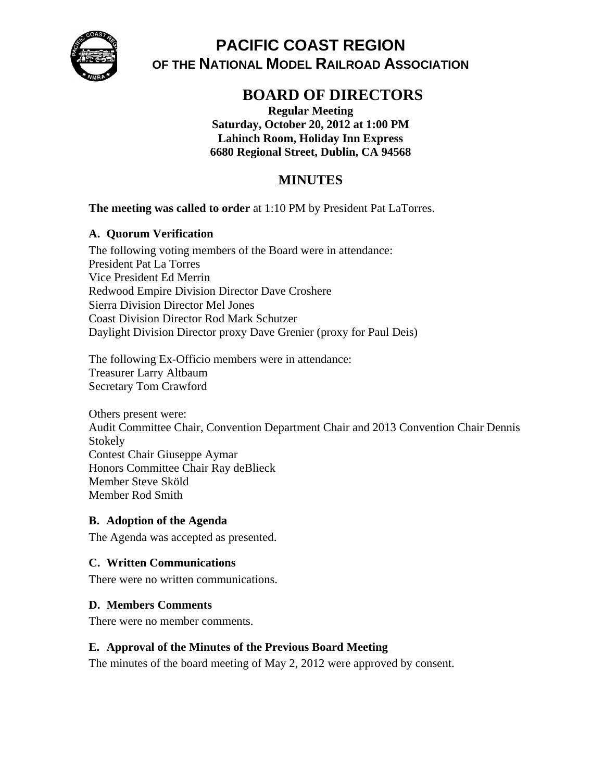

# **PACIFIC COAST REGION OF THE NATIONAL MODEL RAILROAD ASSOCIATION**

# **BOARD OF DIRECTORS**

**Regular Meeting Saturday, October 20, 2012 at 1:00 PM Lahinch Room, Holiday Inn Express 6680 Regional Street, Dublin, CA 94568** 

# **MINUTES**

#### **The meeting was called to order** at 1:10 PM by President Pat LaTorres.

#### **A. Quorum Verification**

The following voting members of the Board were in attendance: President Pat La Torres Vice President Ed Merrin Redwood Empire Division Director Dave Croshere Sierra Division Director Mel Jones Coast Division Director Rod Mark Schutzer Daylight Division Director proxy Dave Grenier (proxy for Paul Deis)

The following Ex-Officio members were in attendance: Treasurer Larry Altbaum Secretary Tom Crawford

Others present were: Audit Committee Chair, Convention Department Chair and 2013 Convention Chair Dennis Stokely Contest Chair Giuseppe Aymar Honors Committee Chair Ray deBlieck Member Steve Sköld Member Rod Smith

#### **B. Adoption of the Agenda**

The Agenda was accepted as presented.

#### **C. Written Communications**

There were no written communications.

#### **D. Members Comments**

There were no member comments.

#### **E. Approval of the Minutes of the Previous Board Meeting**

The minutes of the board meeting of May 2, 2012 were approved by consent.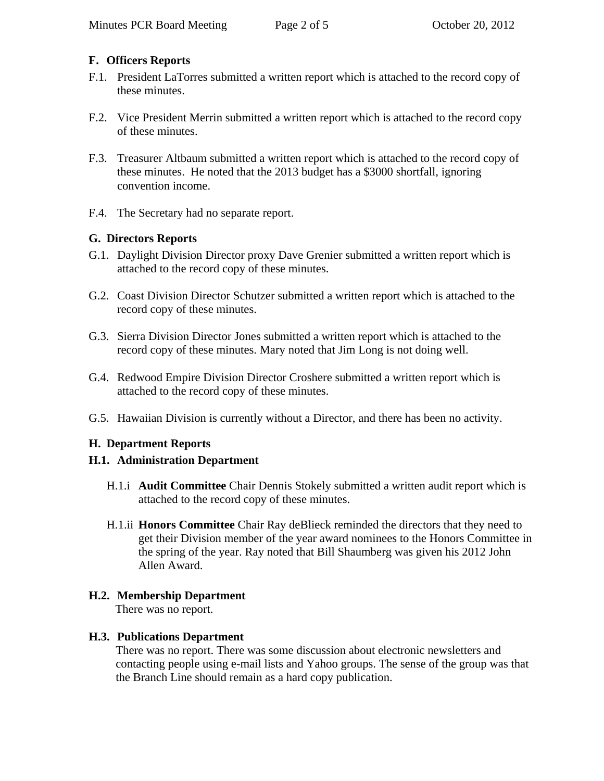## **F. Officers Reports**

- F.1. President LaTorres submitted a written report which is attached to the record copy of these minutes.
- F.2. Vice President Merrin submitted a written report which is attached to the record copy of these minutes.
- F.3. Treasurer Altbaum submitted a written report which is attached to the record copy of these minutes. He noted that the 2013 budget has a \$3000 shortfall, ignoring convention income.
- F.4. The Secretary had no separate report.

# **G. Directors Reports**

- G.1. Daylight Division Director proxy Dave Grenier submitted a written report which is attached to the record copy of these minutes.
- G.2. Coast Division Director Schutzer submitted a written report which is attached to the record copy of these minutes.
- G.3. Sierra Division Director Jones submitted a written report which is attached to the record copy of these minutes. Mary noted that Jim Long is not doing well.
- G.4. Redwood Empire Division Director Croshere submitted a written report which is attached to the record copy of these minutes.
- G.5. Hawaiian Division is currently without a Director, and there has been no activity.

# **H. Department Reports**

# **H.1. Administration Department**

- H.1.i **Audit Committee** Chair Dennis Stokely submitted a written audit report which is attached to the record copy of these minutes.
- H.1.ii **Honors Committee** Chair Ray deBlieck reminded the directors that they need to get their Division member of the year award nominees to the Honors Committee in the spring of the year. Ray noted that Bill Shaumberg was given his 2012 John Allen Award.

# **H.2. Membership Department**

There was no report.

# **H.3. Publications Department**

There was no report. There was some discussion about electronic newsletters and contacting people using e-mail lists and Yahoo groups. The sense of the group was that the Branch Line should remain as a hard copy publication.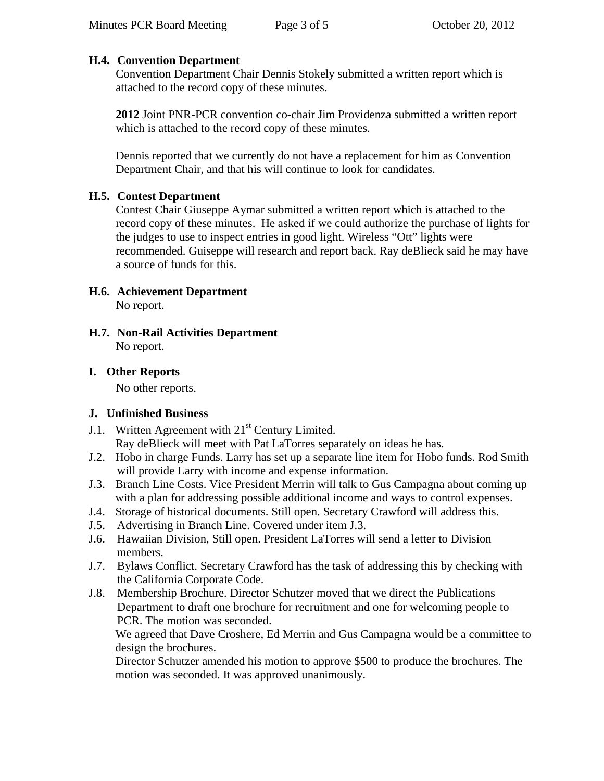# **H.4. Convention Department**

Convention Department Chair Dennis Stokely submitted a written report which is attached to the record copy of these minutes.

**2012** Joint PNR-PCR convention co-chair Jim Providenza submitted a written report which is attached to the record copy of these minutes.

Dennis reported that we currently do not have a replacement for him as Convention Department Chair, and that his will continue to look for candidates.

#### **H.5. Contest Department**

Contest Chair Giuseppe Aymar submitted a written report which is attached to the record copy of these minutes. He asked if we could authorize the purchase of lights for the judges to use to inspect entries in good light. Wireless "Ott" lights were recommended. Guiseppe will research and report back. Ray deBlieck said he may have a source of funds for this.

#### **H.6. Achievement Department**  No report.

**H.7. Non-Rail Activities Department**  No report.

# **I. Other Reports**

No other reports.

# **J. Unfinished Business**

- J.1. Written Agreement with  $21<sup>st</sup>$  Century Limited. Ray deBlieck will meet with Pat LaTorres separately on ideas he has.
- J.2. Hobo in charge Funds. Larry has set up a separate line item for Hobo funds. Rod Smith will provide Larry with income and expense information.
- J.3. Branch Line Costs. Vice President Merrin will talk to Gus Campagna about coming up with a plan for addressing possible additional income and ways to control expenses.
- J.4. Storage of historical documents. Still open. Secretary Crawford will address this.
- J.5. Advertising in Branch Line. Covered under item J.3.
- J.6. Hawaiian Division, Still open. President LaTorres will send a letter to Division members.
- J.7. Bylaws Conflict. Secretary Crawford has the task of addressing this by checking with the California Corporate Code.
- J.8. Membership Brochure. Director Schutzer moved that we direct the Publications Department to draft one brochure for recruitment and one for welcoming people to PCR. The motion was seconded.

We agreed that Dave Croshere, Ed Merrin and Gus Campagna would be a committee to design the brochures.

Director Schutzer amended his motion to approve \$500 to produce the brochures. The motion was seconded. It was approved unanimously.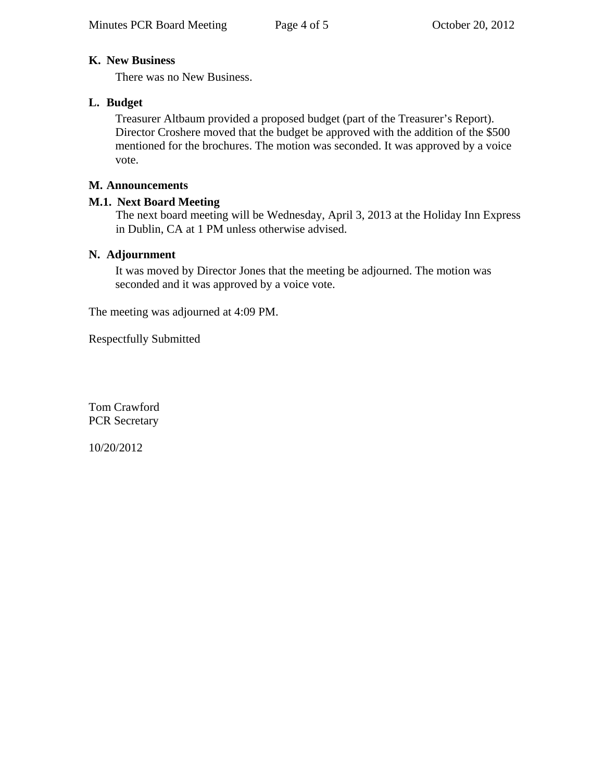### **K. New Business**

There was no New Business.

# **L. Budget**

Treasurer Altbaum provided a proposed budget (part of the Treasurer's Report). Director Croshere moved that the budget be approved with the addition of the \$500 mentioned for the brochures. The motion was seconded. It was approved by a voice vote.

## **M. Announcements**

#### **M.1. Next Board Meeting**

The next board meeting will be Wednesday, April 3, 2013 at the Holiday Inn Express in Dublin, CA at 1 PM unless otherwise advised.

#### **N. Adjournment**

It was moved by Director Jones that the meeting be adjourned. The motion was seconded and it was approved by a voice vote.

The meeting was adjourned at 4:09 PM.

Respectfully Submitted

Tom Crawford PCR Secretary

10/20/2012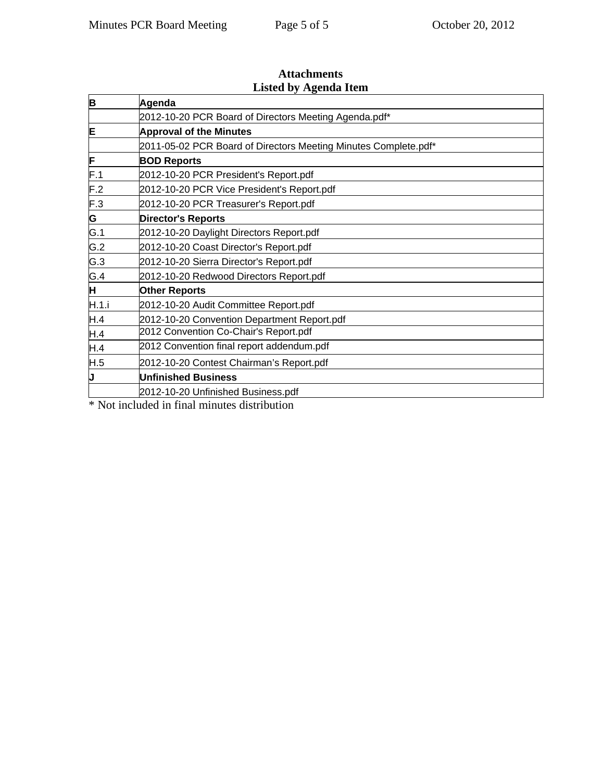| Agenda                                                          |
|-----------------------------------------------------------------|
| 2012-10-20 PCR Board of Directors Meeting Agenda.pdf*           |
| <b>Approval of the Minutes</b>                                  |
| 2011-05-02 PCR Board of Directors Meeting Minutes Complete.pdf* |
| <b>BOD Reports</b>                                              |
| 2012-10-20 PCR President's Report.pdf                           |
| 2012-10-20 PCR Vice President's Report.pdf                      |
| 2012-10-20 PCR Treasurer's Report.pdf                           |
| <b>Director's Reports</b>                                       |
| 2012-10-20 Daylight Directors Report.pdf                        |
| 2012-10-20 Coast Director's Report.pdf                          |
| 2012-10-20 Sierra Director's Report.pdf                         |
| 2012-10-20 Redwood Directors Report.pdf                         |
| <b>Other Reports</b>                                            |
| 2012-10-20 Audit Committee Report.pdf                           |
| 2012-10-20 Convention Department Report.pdf                     |
| 2012 Convention Co-Chair's Report.pdf                           |
| 2012 Convention final report addendum.pdf                       |
| 2012-10-20 Contest Chairman's Report.pdf                        |
| <b>Unfinished Business</b>                                      |
| 2012-10-20 Unfinished Business.pdf                              |
| .                                                               |

#### **Attachments Listed by Agenda Item**

\* Not included in final minutes distribution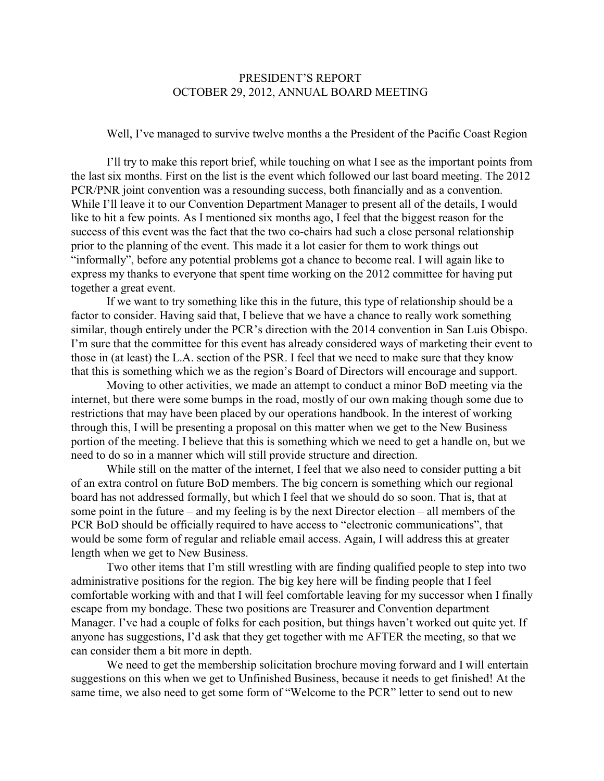#### PRESIDENT'S REPORT OCTOBER 29, 2012, ANNUAL BOARD MEETING

Well, I've managed to survive twelve months a the President of the Pacific Coast Region

I'll try to make this report brief, while touching on what I see as the important points from the last six months. First on the list is the event which followed our last board meeting. The 2012 PCR/PNR joint convention was a resounding success, both financially and as a convention. While I'll leave it to our Convention Department Manager to present all of the details, I would like to hit a few points. As I mentioned six months ago, I feel that the biggest reason for the success of this event was the fact that the two co-chairs had such a close personal relationship prior to the planning of the event. This made it a lot easier for them to work things out "informally", before any potential problems got a chance to become real. I will again like to express my thanks to everyone that spent time working on the 2012 committee for having put together a great event.

If we want to try something like this in the future, this type of relationship should be a factor to consider. Having said that, I believe that we have a chance to really work something similar, though entirely under the PCR's direction with the 2014 convention in San Luis Obispo. I'm sure that the committee for this event has already considered ways of marketing their event to those in (at least) the L.A. section of the PSR. I feel that we need to make sure that they know that this is something which we as the region's Board of Directors will encourage and support.

Moving to other activities, we made an attempt to conduct a minor BoD meeting via the internet, but there were some bumps in the road, mostly of our own making though some due to restrictions that may have been placed by our operations handbook. In the interest of working through this, I will be presenting a proposal on this matter when we get to the New Business portion of the meeting. I believe that this is something which we need to get a handle on, but we need to do so in a manner which will still provide structure and direction.

While still on the matter of the internet, I feel that we also need to consider putting a bit of an extra control on future BoD members. The big concern is something which our regional board has not addressed formally, but which I feel that we should do so soon. That is, that at some point in the future – and my feeling is by the next Director election – all members of the PCR BoD should be officially required to have access to "electronic communications", that would be some form of regular and reliable email access. Again, I will address this at greater length when we get to New Business.

Two other items that I'm still wrestling with are finding qualified people to step into two administrative positions for the region. The big key here will be finding people that I feel comfortable working with and that I will feel comfortable leaving for my successor when I finally escape from my bondage. These two positions are Treasurer and Convention department Manager. I've had a couple of folks for each position, but things haven't worked out quite yet. If anyone has suggestions, I'd ask that they get together with me AFTER the meeting, so that we can consider them a bit more in depth.

We need to get the membership solicitation brochure moving forward and I will entertain suggestions on this when we get to Unfinished Business, because it needs to get finished! At the same time, we also need to get some form of "Welcome to the PCR" letter to send out to new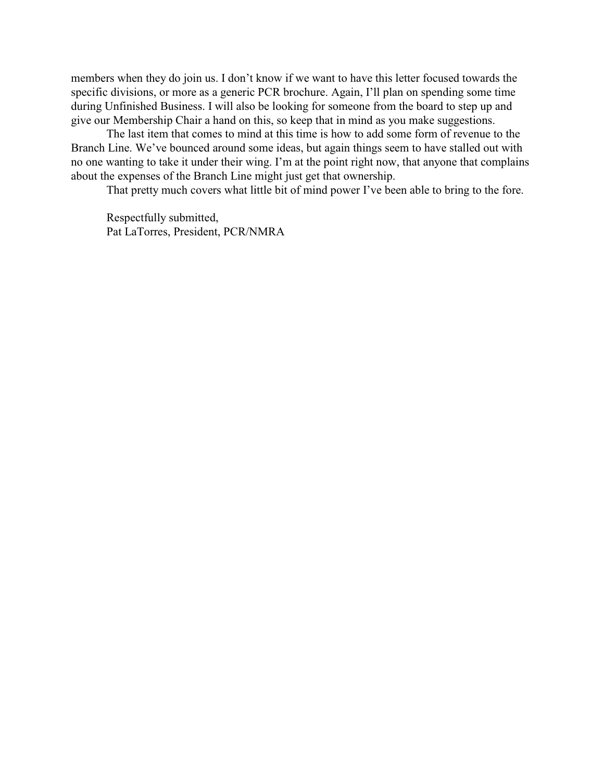members when they do join us. I don't know if we want to have this letter focused towards the specific divisions, or more as a generic PCR brochure. Again, I'll plan on spending some time during Unfinished Business. I will also be looking for someone from the board to step up and give our Membership Chair a hand on this, so keep that in mind as you make suggestions.

The last item that comes to mind at this time is how to add some form of revenue to the Branch Line. We've bounced around some ideas, but again things seem to have stalled out with no one wanting to take it under their wing. I'm at the point right now, that anyone that complains about the expenses of the Branch Line might just get that ownership.

That pretty much covers what little bit of mind power I've been able to bring to the fore.

Respectfully submitted, Pat LaTorres, President, PCR/NMRA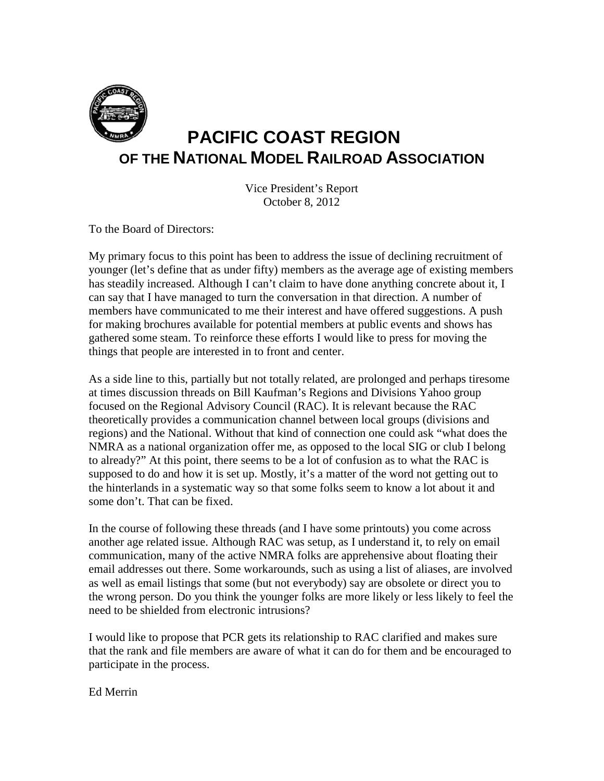

# **PACIFIC COAST REGION OF THE NATIONAL MODEL RAILROAD ASSOCIATION**

Vice President's Report October 8, 2012

To the Board of Directors:

My primary focus to this point has been to address the issue of declining recruitment of younger (let's define that as under fifty) members as the average age of existing members has steadily increased. Although I can't claim to have done anything concrete about it, I can say that I have managed to turn the conversation in that direction. A number of members have communicated to me their interest and have offered suggestions. A push for making brochures available for potential members at public events and shows has gathered some steam. To reinforce these efforts I would like to press for moving the things that people are interested in to front and center.

As a side line to this, partially but not totally related, are prolonged and perhaps tiresome at times discussion threads on Bill Kaufman's Regions and Divisions Yahoo group focused on the Regional Advisory Council (RAC). It is relevant because the RAC theoretically provides a communication channel between local groups (divisions and regions) and the National. Without that kind of connection one could ask "what does the NMRA as a national organization offer me, as opposed to the local SIG or club I belong to already?" At this point, there seems to be a lot of confusion as to what the RAC is supposed to do and how it is set up. Mostly, it's a matter of the word not getting out to the hinterlands in a systematic way so that some folks seem to know a lot about it and some don't. That can be fixed.

In the course of following these threads (and I have some printouts) you come across another age related issue. Although RAC was setup, as I understand it, to rely on email communication, many of the active NMRA folks are apprehensive about floating their email addresses out there. Some workarounds, such as using a list of aliases, are involved as well as email listings that some (but not everybody) say are obsolete or direct you to the wrong person. Do you think the younger folks are more likely or less likely to feel the need to be shielded from electronic intrusions?

I would like to propose that PCR gets its relationship to RAC clarified and makes sure that the rank and file members are aware of what it can do for them and be encouraged to participate in the process.

Ed Merrin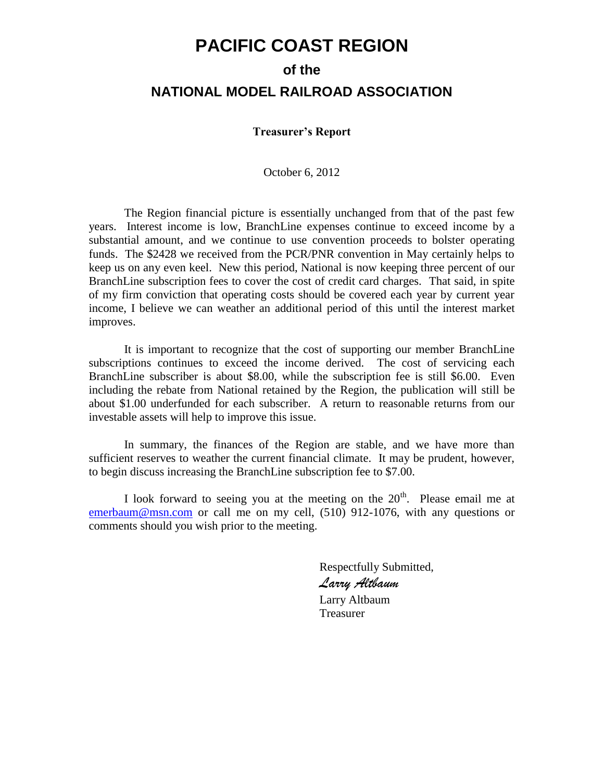# **PACIFIC COAST REGION**

# **of the NATIONAL MODEL RAILROAD ASSOCIATION**

#### **Treasurer's Report**

October 6, 2012

The Region financial picture is essentially unchanged from that of the past few years. Interest income is low, BranchLine expenses continue to exceed income by a substantial amount, and we continue to use convention proceeds to bolster operating funds. The \$2428 we received from the PCR/PNR convention in May certainly helps to keep us on any even keel. New this period, National is now keeping three percent of our BranchLine subscription fees to cover the cost of credit card charges. That said, in spite of my firm conviction that operating costs should be covered each year by current year income, I believe we can weather an additional period of this until the interest market improves.

It is important to recognize that the cost of supporting our member BranchLine subscriptions continues to exceed the income derived. The cost of servicing each BranchLine subscriber is about \$8.00, while the subscription fee is still \$6.00. Even including the rebate from National retained by the Region, the publication will still be about \$1.00 underfunded for each subscriber. A return to reasonable returns from our investable assets will help to improve this issue.

In summary, the finances of the Region are stable, and we have more than sufficient reserves to weather the current financial climate. It may be prudent, however, to begin discuss increasing the BranchLine subscription fee to \$7.00.

I look forward to seeing you at the meeting on the  $20<sup>th</sup>$ . Please email me at [emerbaum@msn.com](mailto:emerbaum@msn.com) or call me on my cell, (510) 912-1076, with any questions or comments should you wish prior to the meeting.

> Respectfully Submitted, *Larry Altbaum* Larry Altbaum Treasurer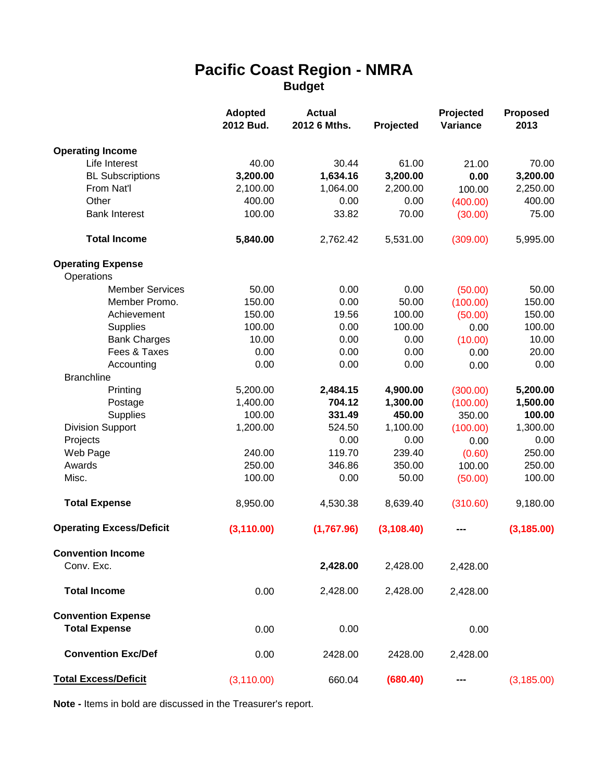# **Pacific Coast Region - NMRA Budget**

|                                 | <b>Adopted</b><br>2012 Bud. | <b>Actual</b><br>2012 6 Mths. | Projected   | Projected<br>Variance | <b>Proposed</b><br>2013 |
|---------------------------------|-----------------------------|-------------------------------|-------------|-----------------------|-------------------------|
| <b>Operating Income</b>         |                             |                               |             |                       |                         |
| Life Interest                   | 40.00                       | 30.44                         | 61.00       | 21.00                 | 70.00                   |
| <b>BL Subscriptions</b>         | 3,200.00                    | 1,634.16                      | 3,200.00    | 0.00                  | 3,200.00                |
| From Nat'l                      | 2,100.00                    | 1,064.00                      | 2,200.00    | 100.00                | 2,250.00                |
| Other                           | 400.00                      | 0.00                          | 0.00        | (400.00)              | 400.00                  |
| <b>Bank Interest</b>            | 100.00                      | 33.82                         | 70.00       | (30.00)               | 75.00                   |
| <b>Total Income</b>             | 5,840.00                    | 2,762.42                      | 5,531.00    | (309.00)              | 5,995.00                |
| <b>Operating Expense</b>        |                             |                               |             |                       |                         |
| Operations                      |                             |                               |             |                       |                         |
| <b>Member Services</b>          | 50.00                       | 0.00                          | 0.00        | (50.00)               | 50.00                   |
| Member Promo.                   | 150.00                      | 0.00                          | 50.00       | (100.00)              | 150.00                  |
| Achievement                     | 150.00                      | 19.56                         | 100.00      | (50.00)               | 150.00                  |
| <b>Supplies</b>                 | 100.00                      | 0.00                          | 100.00      | 0.00                  | 100.00                  |
| <b>Bank Charges</b>             | 10.00                       | 0.00                          | 0.00        | (10.00)               | 10.00                   |
| Fees & Taxes                    | 0.00                        | 0.00                          | 0.00        | 0.00                  | 20.00                   |
| Accounting                      | 0.00                        | 0.00                          | 0.00        | 0.00                  | 0.00                    |
| <b>Branchline</b>               |                             |                               |             |                       |                         |
| Printing                        | 5,200.00                    | 2,484.15                      | 4,900.00    | (300.00)              | 5,200.00                |
| Postage                         | 1,400.00                    | 704.12                        | 1,300.00    | (100.00)              | 1,500.00                |
| <b>Supplies</b>                 | 100.00                      | 331.49                        | 450.00      | 350.00                | 100.00                  |
| <b>Division Support</b>         | 1,200.00                    | 524.50                        | 1,100.00    | (100.00)              | 1,300.00                |
| Projects                        |                             | 0.00                          | 0.00        | 0.00                  | 0.00                    |
| Web Page                        | 240.00                      | 119.70                        | 239.40      | (0.60)                | 250.00                  |
| Awards                          | 250.00                      | 346.86                        | 350.00      | 100.00                | 250.00                  |
| Misc.                           | 100.00                      | 0.00                          | 50.00       | (50.00)               | 100.00                  |
| <b>Total Expense</b>            | 8,950.00                    | 4,530.38                      | 8,639.40    | (310.60)              | 9,180.00                |
| <b>Operating Excess/Deficit</b> | (3, 110.00)                 | (1,767.96)                    | (3, 108.40) |                       | (3, 185.00)             |
| <b>Convention Income</b>        |                             |                               |             |                       |                         |
| Conv. Exc.                      |                             | 2,428.00                      | 2,428.00    | 2,428.00              |                         |
| <b>Total Income</b>             | 0.00                        | 2,428.00                      | 2,428.00    | 2,428.00              |                         |
| <b>Convention Expense</b>       |                             |                               |             |                       |                         |
| <b>Total Expense</b>            | 0.00                        | 0.00                          |             | 0.00                  |                         |
| <b>Convention Exc/Def</b>       | 0.00                        | 2428.00                       | 2428.00     | 2,428.00              |                         |
| <b>Total Excess/Deficit</b>     | (3, 110.00)                 | 660.04                        | (680.40)    |                       | (3, 185.00)             |

**Note -** Items in bold are discussed in the Treasurer's report.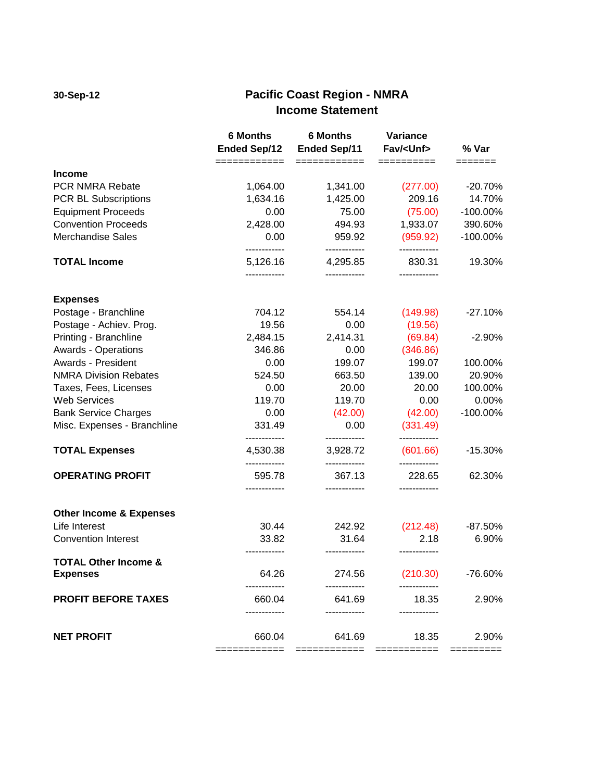# **30-Sep-12 Pacific Coast Region - NMRA Income Statement**

|                                    | <b>6 Months</b><br><b>Ended Sep/12</b> | <b>6 Months</b><br><b>Ended Sep/11</b> | Variance<br>Fav/ <unf></unf> | % Var       |
|------------------------------------|----------------------------------------|----------------------------------------|------------------------------|-------------|
| <b>Income</b>                      | ============                           | ============                           | ==========                   | =======     |
| PCR NMRA Rebate                    | 1,064.00                               | 1,341.00                               | (277.00)                     | $-20.70%$   |
| PCR BL Subscriptions               | 1,634.16                               | 1,425.00                               | 209.16                       | 14.70%      |
| <b>Equipment Proceeds</b>          | 0.00                                   | 75.00                                  | (75.00)                      | -100.00%    |
| <b>Convention Proceeds</b>         | 2,428.00                               | 494.93                                 | 1,933.07                     | 390.60%     |
| <b>Merchandise Sales</b>           | 0.00<br>------------                   | 959.92                                 | (959.92)                     | $-100.00\%$ |
| <b>TOTAL Income</b>                | 5,126.16                               | ------------<br>4,295.85               | 830.31                       | 19.30%      |
|                                    |                                        |                                        |                              |             |
| <b>Expenses</b>                    |                                        |                                        |                              |             |
| Postage - Branchline               | 704.12                                 | 554.14                                 | (149.98)                     | $-27.10%$   |
| Postage - Achiev. Prog.            | 19.56                                  | 0.00                                   | (19.56)                      |             |
| Printing - Branchline              | 2,484.15                               | 2,414.31                               | (69.84)                      | $-2.90%$    |
| <b>Awards - Operations</b>         | 346.86                                 | 0.00                                   | (346.86)                     |             |
| Awards - President                 | 0.00                                   | 199.07                                 | 199.07                       | 100.00%     |
| <b>NMRA Division Rebates</b>       | 524.50                                 | 663.50                                 | 139.00                       | 20.90%      |
| Taxes, Fees, Licenses              | 0.00                                   | 20.00                                  | 20.00                        | 100.00%     |
| <b>Web Services</b>                | 119.70                                 | 119.70                                 | 0.00                         | 0.00%       |
| <b>Bank Service Charges</b>        | 0.00                                   | (42.00)                                | (42.00)                      | -100.00%    |
| Misc. Expenses - Branchline        | 331.49<br>------------                 | 0.00<br>------------                   | (331.49)<br>------------     |             |
| <b>TOTAL Expenses</b>              | 4,530.38                               | 3,928.72                               | (601.66)                     | $-15.30%$   |
| <b>OPERATING PROFIT</b>            | 595.78                                 | 367.13                                 | 228.65                       | 62.30%      |
| <b>Other Income &amp; Expenses</b> |                                        |                                        |                              |             |
| Life Interest                      | 30.44                                  | 242.92                                 | (212.48)                     | $-87.50%$   |
| <b>Convention Interest</b>         | 33.82                                  | 31.64                                  | 2.18                         | 6.90%       |
| <b>TOTAL Other Income &amp;</b>    |                                        | ------------                           |                              |             |
| <b>Expenses</b>                    | 64.26                                  | 274.56                                 | (210.30)                     | -76.60%     |
| <b>PROFIT BEFORE TAXES</b>         | 660.04                                 | 641.69                                 | 18.35                        | 2.90%       |
| <b>NET PROFIT</b>                  | 660.04                                 | 641.69                                 | 18.35                        | 2.90%       |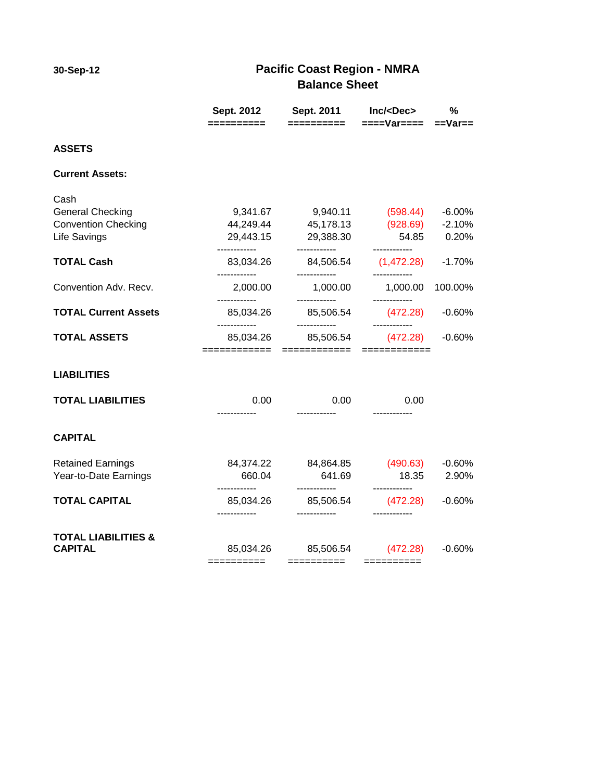# **30-Sep-12 Pacific Coast Region - NMRA Balance Sheet**

|                                                  | ==========                | Sept. 2012   Sept. 2011   Inc/ <dec><br/>==========</dec> | $===Var=== =Var==$                  | %           |
|--------------------------------------------------|---------------------------|-----------------------------------------------------------|-------------------------------------|-------------|
| <b>ASSETS</b>                                    |                           |                                                           |                                     |             |
| <b>Current Assets:</b>                           |                           |                                                           |                                     |             |
| Cash                                             |                           |                                                           |                                     |             |
| <b>General Checking</b>                          |                           | 9,341.67 9,940.11 (598.44)                                |                                     | -6.00%      |
| <b>Convention Checking</b>                       |                           | 44,249.44 45,178.13 (928.69) -2.10%                       |                                     |             |
| Life Savings                                     | ------------              | 29,443.15 29,388.30<br>------------                       | ------------                        | 54.85 0.20% |
| <b>TOTAL Cash</b>                                | ------------              | 83,034.26 84,506.54<br>------------                       | $(1,472.28)$ -1.70%<br>------------ |             |
| Convention Adv. Recv.                            | 2,000.00<br>------------  | 1,000.00<br>------------                                  | 1,000.00 100.00%<br>------------    |             |
| <b>TOTAL Current Assets</b>                      | 85,034.26<br>------------ | 85,506.54<br>------------                                 | (472.28)<br>------------            | $-0.60%$    |
| <b>TOTAL ASSETS</b>                              | 85,034.26                 | 85,506.54                                                 | (472.28)                            | $-0.60%$    |
| <b>LIABILITIES</b>                               |                           |                                                           |                                     |             |
| <b>TOTAL LIABILITIES</b>                         | 0.00                      | 0.00<br>------------                                      | 0.00                                |             |
| <b>CAPITAL</b>                                   |                           |                                                           |                                     |             |
| <b>Retained Earnings</b>                         |                           | 84,374.22 84,864.85 (490.63)                              |                                     | $-0.60%$    |
| Year-to-Date Earnings                            | 660.04                    | 641.69                                                    | 18.35                               | 2.90%       |
| <b>TOTAL CAPITAL</b>                             | ------------<br>85,034.26 | ------------<br>85,506.54                                 | ------------<br>(472.28)            | $-0.60%$    |
| <b>TOTAL LIABILITIES &amp;</b><br><b>CAPITAL</b> |                           | 85,034.26 85,506.54 (472.28)                              |                                     | $-0.60%$    |
|                                                  | ==========                | ==========                                                | $=$ ==========                      |             |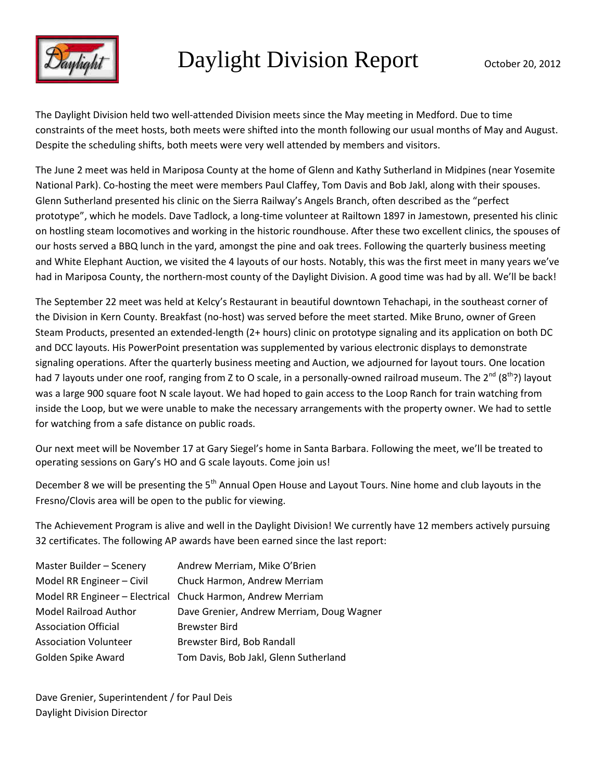

# Daylight Division Report October 20, 2012

The Daylight Division held two well-attended Division meets since the May meeting in Medford. Due to time constraints of the meet hosts, both meets were shifted into the month following our usual months of May and August. Despite the scheduling shifts, both meets were very well attended by members and visitors.

The June 2 meet was held in Mariposa County at the home of Glenn and Kathy Sutherland in Midpines (near Yosemite National Park). Co-hosting the meet were members Paul Claffey, Tom Davis and Bob Jakl, along with their spouses. Glenn Sutherland presented his clinic on the Sierra Railway's Angels Branch, often described as the "perfect prototype", which he models. Dave Tadlock, a long-time volunteer at Railtown 1897 in Jamestown, presented his clinic on hostling steam locomotives and working in the historic roundhouse. After these two excellent clinics, the spouses of our hosts served a BBQ lunch in the yard, amongst the pine and oak trees. Following the quarterly business meeting and White Elephant Auction, we visited the 4 layouts of our hosts. Notably, this was the first meet in many years we've had in Mariposa County, the northern-most county of the Daylight Division. A good time was had by all. We'll be back!

The September 22 meet was held at Kelcy's Restaurant in beautiful downtown Tehachapi, in the southeast corner of the Division in Kern County. Breakfast (no-host) was served before the meet started. Mike Bruno, owner of Green Steam Products, presented an extended-length (2+ hours) clinic on prototype signaling and its application on both DC and DCC layouts. His PowerPoint presentation was supplemented by various electronic displays to demonstrate signaling operations. After the quarterly business meeting and Auction, we adjourned for layout tours. One location had 7 layouts under one roof, ranging from Z to O scale, in a personally-owned railroad museum. The 2<sup>nd</sup> (8<sup>th</sup>?) lavout was a large 900 square foot N scale layout. We had hoped to gain access to the Loop Ranch for train watching from inside the Loop, but we were unable to make the necessary arrangements with the property owner. We had to settle for watching from a safe distance on public roads.

Our next meet will be November 17 at Gary Siegel's home in Santa Barbara. Following the meet, we'll be treated to operating sessions on Gary's HO and G scale layouts. Come join us!

December 8 we will be presenting the 5<sup>th</sup> Annual Open House and Layout Tours. Nine home and club layouts in the Fresno/Clovis area will be open to the public for viewing.

The Achievement Program is alive and well in the Daylight Division! We currently have 12 members actively pursuing 32 certificates. The following AP awards have been earned since the last report:

| Master Builder - Scenery     | Andrew Merriam, Mike O'Brien                                |
|------------------------------|-------------------------------------------------------------|
| Model RR Engineer - Civil    | Chuck Harmon, Andrew Merriam                                |
|                              | Model RR Engineer - Electrical Chuck Harmon, Andrew Merriam |
| <b>Model Railroad Author</b> | Dave Grenier, Andrew Merriam, Doug Wagner                   |
| <b>Association Official</b>  | <b>Brewster Bird</b>                                        |
| <b>Association Volunteer</b> | Brewster Bird, Bob Randall                                  |
| Golden Spike Award           | Tom Davis, Bob Jakl, Glenn Sutherland                       |

Dave Grenier, Superintendent / for Paul Deis Daylight Division Director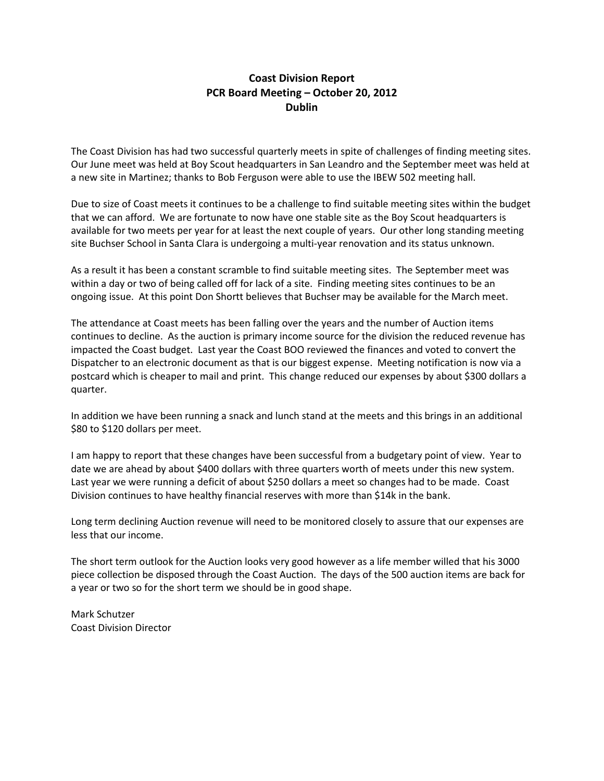#### **Coast Division Report PCR Board Meeting – October 20, 2012 Dublin**

The Coast Division has had two successful quarterly meets in spite of challenges of finding meeting sites. Our June meet was held at Boy Scout headquarters in San Leandro and the September meet was held at a new site in Martinez; thanks to Bob Ferguson were able to use the IBEW 502 meeting hall.

Due to size of Coast meets it continues to be a challenge to find suitable meeting sites within the budget that we can afford. We are fortunate to now have one stable site as the Boy Scout headquarters is available for two meets per year for at least the next couple of years. Our other long standing meeting site Buchser School in Santa Clara is undergoing a multi-year renovation and its status unknown.

As a result it has been a constant scramble to find suitable meeting sites. The September meet was within a day or two of being called off for lack of a site. Finding meeting sites continues to be an ongoing issue. At this point Don Shortt believes that Buchser may be available for the March meet.

The attendance at Coast meets has been falling over the years and the number of Auction items continues to decline. As the auction is primary income source for the division the reduced revenue has impacted the Coast budget. Last year the Coast BOO reviewed the finances and voted to convert the Dispatcher to an electronic document as that is our biggest expense. Meeting notification is now via a postcard which is cheaper to mail and print. This change reduced our expenses by about \$300 dollars a quarter.

In addition we have been running a snack and lunch stand at the meets and this brings in an additional \$80 to \$120 dollars per meet.

I am happy to report that these changes have been successful from a budgetary point of view. Year to date we are ahead by about \$400 dollars with three quarters worth of meets under this new system. Last year we were running a deficit of about \$250 dollars a meet so changes had to be made. Coast Division continues to have healthy financial reserves with more than \$14k in the bank.

Long term declining Auction revenue will need to be monitored closely to assure that our expenses are less that our income.

The short term outlook for the Auction looks very good however as a life member willed that his 3000 piece collection be disposed through the Coast Auction. The days of the 500 auction items are back for a year or two so for the short term we should be in good shape.

Mark Schutzer Coast Division Director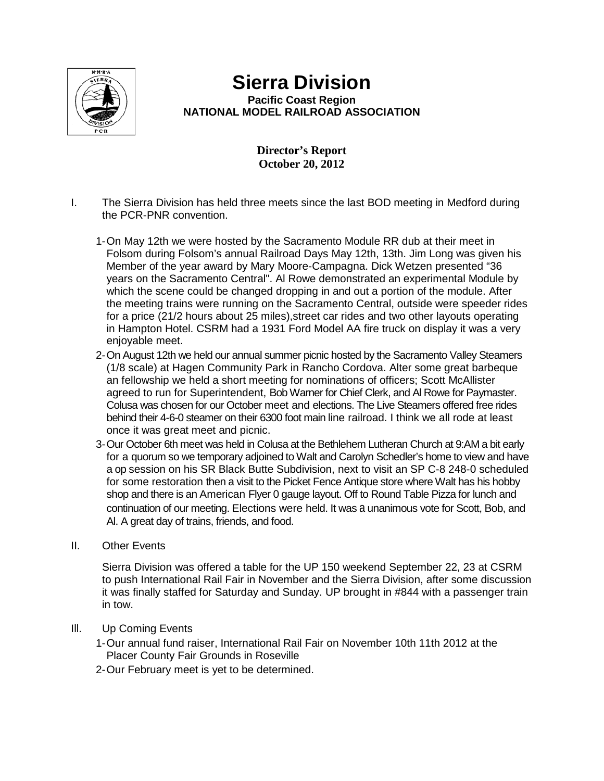

# **Sierra Division**

**Pacific Coast Region NATIONAL MODEL RAILROAD ASSOCIATION**

#### **Director's Report October 20, 2012**

- I. The Sierra Division has held three meets since the last BOD meeting in Medford during the PCR-PNR convention.
	- 1-On May 12th we were hosted by the Sacramento Module RR dub at their meet in Folsom during Folsom's annual Railroad Days May 12th, 13th. Jim Long was given his Member of the year award by Mary Moore-Campagna. Dick Wetzen presented "36 years on the Sacramento Central". Al Rowe demonstrated an experimental Module by which the scene could be changed dropping in and out a portion of the module. After the meeting trains were running on the Sacramento Central, outside were speeder rides for a price (21/2 hours about 25 miles),street car rides and two other layouts operating in Hampton Hotel. CSRM had a 1931 Ford Model AA fire truck on display it was a very enjoyable meet.
	- 2-On August 12th we held our annual summer picnic hosted by the Sacramento Valley Steamers (1/8 scale) at Hagen Community Park in Rancho Cordova. Alter some great barbeque an fellowship we held a short meeting for nominations of officers; Scott McAllister agreed to run for Superintendent, Bob Warner for Chief Clerk, and Al Rowe for Paymaster. Colusa was chosen for our October meet and elections. The Live Steamers offered free rides behind their 4-6-0 steamer on their 6300 foot main line railroad. I think we all rode at least once it was great meet and picnic.
	- 3-Our October 6th meet was held in Colusa at the Bethlehem Lutheran Church at 9:AM a bit early for a quorum so we temporary adjoined to Walt and Carolyn Schedler's home to view and have a op session on his SR Black Butte Subdivision, next to visit an SP C-8 248-0 scheduled for some restoration then a visit to the Picket Fence Antique store where Walt has his hobby shop and there is an American Flyer 0 gauge layout. Off to Round Table Pizza for lunch and continuation of our meeting. Elections were held. It was a unanimous vote for Scott, Bob, and Al. A great day of trains, friends, and food.
- II. Other Events

Sierra Division was offered a table for the UP 150 weekend September 22, 23 at CSRM to push International Rail Fair in November and the Sierra Division, after some discussion it was finally staffed for Saturday and Sunday. UP brought in #844 with a passenger train in tow.

- Ill. Up Coming Events
	- 1-Our annual fund raiser, International Rail Fair on November 10th 11th 2012 at the Placer County Fair Grounds in Roseville
	- 2-Our February meet is yet to be determined.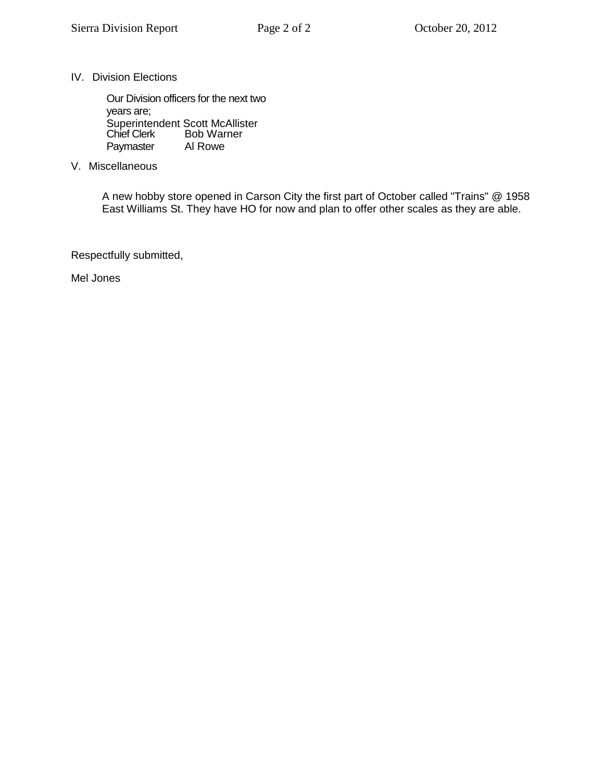IV. Division Elections

Our Division officers for the next two years are; Superintendent Scott McAllister Chief Clerk Bob Warner<br>Paymaster Al Rowe Paymaster

V. Miscellaneous

A new hobby store opened in Carson City the first part of October called "Trains" @ 1958 East Williams St. They have HO for now and plan to offer other scales as they are able.

Respectfully submitted,

Mel Jones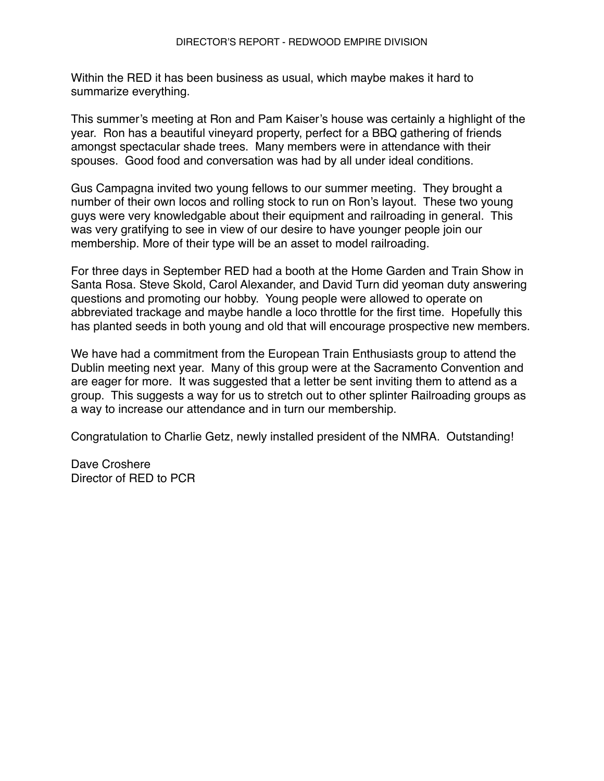Within the RED it has been business as usual, which maybe makes it hard to summarize everything.

This summer's meeting at Ron and Pam Kaiser's house was certainly a highlight of the year. Ron has a beautiful vineyard property, perfect for a BBQ gathering of friends amongst spectacular shade trees. Many members were in attendance with their spouses. Good food and conversation was had by all under ideal conditions.

Gus Campagna invited two young fellows to our summer meeting. They brought a number of their own locos and rolling stock to run on Ron's layout. These two young guys were very knowledgable about their equipment and railroading in general. This was very gratifying to see in view of our desire to have younger people join our membership. More of their type will be an asset to model railroading.

For three days in September RED had a booth at the Home Garden and Train Show in Santa Rosa. Steve Skold, Carol Alexander, and David Turn did yeoman duty answering questions and promoting our hobby. Young people were allowed to operate on abbreviated trackage and maybe handle a loco throttle for the first time. Hopefully this has planted seeds in both young and old that will encourage prospective new members.

We have had a commitment from the European Train Enthusiasts group to attend the Dublin meeting next year. Many of this group were at the Sacramento Convention and are eager for more. It was suggested that a letter be sent inviting them to attend as a group. This suggests a way for us to stretch out to other splinter Railroading groups as a way to increase our attendance and in turn our membership.

Congratulation to Charlie Getz, newly installed president of the NMRA. Outstanding!

Dave Croshere Director of RED to PCR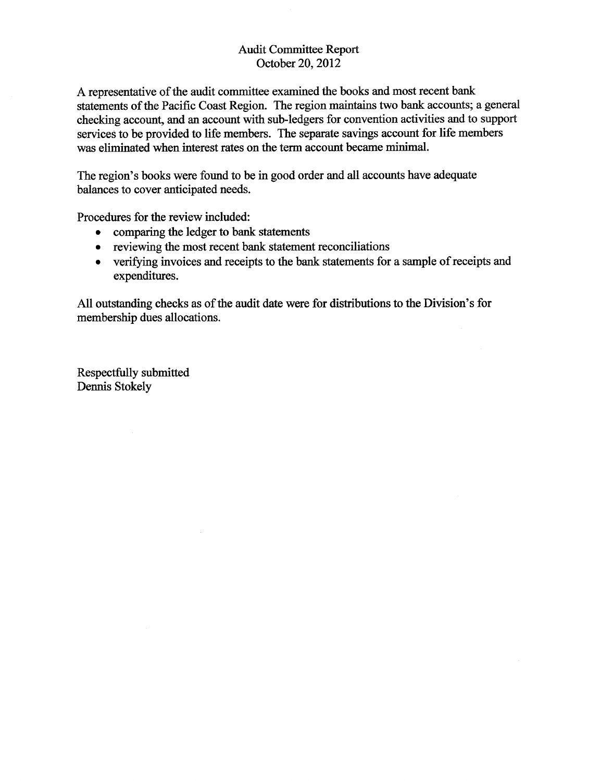#### **Audit Committee Report** October 20, 2012

A representative of the audit committee examined the books and most recent bank statements of the Pacific Coast Region. The region maintains two bank accounts; a general checking account, and an account with sub-ledgers for convention activities and to support services to be provided to life members. The separate savings account for life members was eliminated when interest rates on the term account became minimal.

The region's books were found to be in good order and all accounts have adequate balances to cover anticipated needs.

Procedures for the review included:

- comparing the ledger to bank statements  $\bullet$
- reviewing the most recent bank statement reconciliations  $\bullet$
- verifying invoices and receipts to the bank statements for a sample of receipts and  $\bullet$ expenditures.

All outstanding checks as of the audit date were for distributions to the Division's for membership dues allocations.

Respectfully submitted Dennis Stokely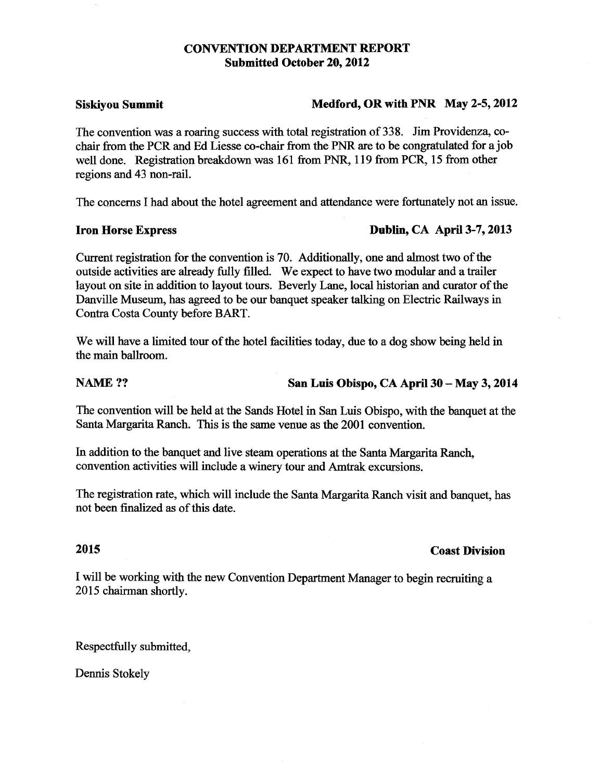#### **CONVENTION DEPARTMENT REPORT Submitted October 20, 2012**

#### **Siskiyou Summit**

#### Medford, OR with PNR May 2-5, 2012

The convention was a roaring success with total registration of 338. Jim Providenza, cochair from the PCR and Ed Liesse co-chair from the PNR are to be congratulated for a job well done. Registration breakdown was 161 from PNR, 119 from PCR, 15 from other regions and 43 non-rail.

The concerns I had about the hotel agreement and attendance were fortunately not an issue.

#### **Iron Horse Express**

#### Dublin, CA April 3-7, 2013

Current registration for the convention is 70. Additionally, one and almost two of the outside activities are already fully filled. We expect to have two modular and a trailer layout on site in addition to layout tours. Beverly Lane, local historian and curator of the Danville Museum, has agreed to be our banquet speaker talking on Electric Railways in Contra Costa County before BART.

We will have a limited tour of the hotel facilities today, due to a dog show being held in the main ballroom.

#### **NAME??**

#### San Luis Obispo, CA April 30 - May 3, 2014

The convention will be held at the Sands Hotel in San Luis Obispo, with the banquet at the Santa Margarita Ranch. This is the same venue as the 2001 convention.

In addition to the banquet and live steam operations at the Santa Margarita Ranch, convention activities will include a winery tour and Amtrak excursions.

The registration rate, which will include the Santa Margarita Ranch visit and banquet, has not been finalized as of this date.

#### 2015

#### **Coast Division**

I will be working with the new Convention Department Manager to begin recruiting a 2015 chairman shortly.

Respectfully submitted,

Dennis Stokely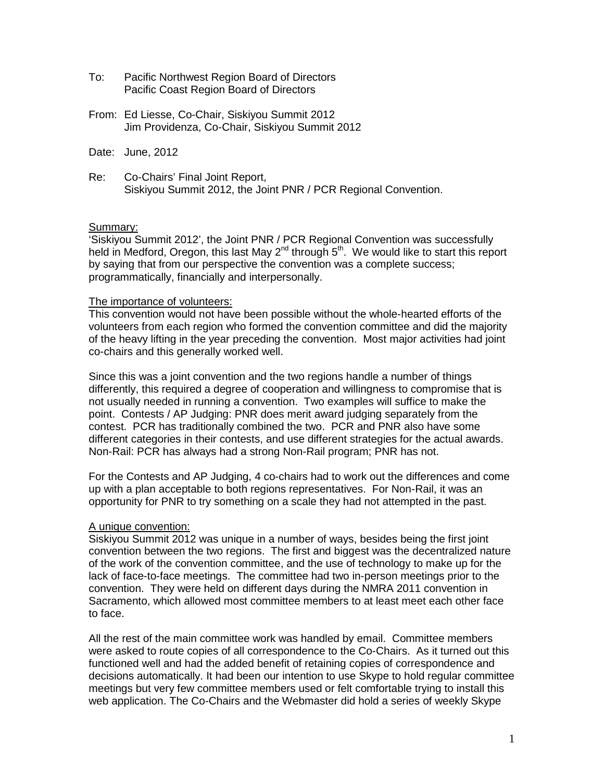- To: Pacific Northwest Region Board of Directors Pacific Coast Region Board of Directors
- From: Ed Liesse, Co-Chair, Siskiyou Summit 2012 Jim Providenza, Co-Chair, Siskiyou Summit 2012
- Date: June, 2012
- Re: Co-Chairs' Final Joint Report, Siskiyou Summit 2012, the Joint PNR / PCR Regional Convention.

#### Summary:

'Siskiyou Summit 2012', the Joint PNR / PCR Regional Convention was successfully held in Medford, Oregon, this last May  $2^{nd}$  through  $5^{th}$ . We would like to start this report by saying that from our perspective the convention was a complete success; programmatically, financially and interpersonally.

#### The importance of volunteers:

This convention would not have been possible without the whole-hearted efforts of the volunteers from each region who formed the convention committee and did the majority of the heavy lifting in the year preceding the convention. Most major activities had joint co-chairs and this generally worked well.

Since this was a joint convention and the two regions handle a number of things differently, this required a degree of cooperation and willingness to compromise that is not usually needed in running a convention. Two examples will suffice to make the point. Contests / AP Judging: PNR does merit award judging separately from the contest. PCR has traditionally combined the two. PCR and PNR also have some different categories in their contests, and use different strategies for the actual awards. Non-Rail: PCR has always had a strong Non-Rail program; PNR has not.

For the Contests and AP Judging, 4 co-chairs had to work out the differences and come up with a plan acceptable to both regions representatives. For Non-Rail, it was an opportunity for PNR to try something on a scale they had not attempted in the past.

#### A unique convention:

Siskiyou Summit 2012 was unique in a number of ways, besides being the first joint convention between the two regions. The first and biggest was the decentralized nature of the work of the convention committee, and the use of technology to make up for the lack of face-to-face meetings. The committee had two in-person meetings prior to the convention. They were held on different days during the NMRA 2011 convention in Sacramento, which allowed most committee members to at least meet each other face to face.

All the rest of the main committee work was handled by email. Committee members were asked to route copies of all correspondence to the Co-Chairs. As it turned out this functioned well and had the added benefit of retaining copies of correspondence and decisions automatically. It had been our intention to use Skype to hold regular committee meetings but very few committee members used or felt comfortable trying to install this web application. The Co-Chairs and the Webmaster did hold a series of weekly Skype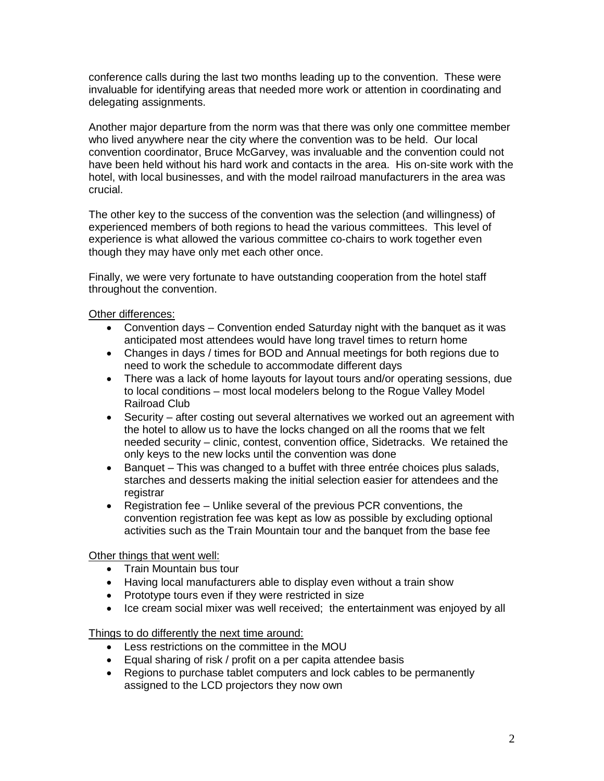conference calls during the last two months leading up to the convention. These were invaluable for identifying areas that needed more work or attention in coordinating and delegating assignments.

Another major departure from the norm was that there was only one committee member who lived anywhere near the city where the convention was to be held. Our local convention coordinator, Bruce McGarvey, was invaluable and the convention could not have been held without his hard work and contacts in the area. His on-site work with the hotel, with local businesses, and with the model railroad manufacturers in the area was crucial.

The other key to the success of the convention was the selection (and willingness) of experienced members of both regions to head the various committees. This level of experience is what allowed the various committee co-chairs to work together even though they may have only met each other once.

Finally, we were very fortunate to have outstanding cooperation from the hotel staff throughout the convention.

#### Other differences:

- Convention days Convention ended Saturday night with the banquet as it was anticipated most attendees would have long travel times to return home
- Changes in days / times for BOD and Annual meetings for both regions due to need to work the schedule to accommodate different days
- There was a lack of home layouts for layout tours and/or operating sessions, due to local conditions – most local modelers belong to the Rogue Valley Model Railroad Club
- Security after costing out several alternatives we worked out an agreement with the hotel to allow us to have the locks changed on all the rooms that we felt needed security – clinic, contest, convention office, Sidetracks. We retained the only keys to the new locks until the convention was done
- Banquet This was changed to a buffet with three entrée choices plus salads, starches and desserts making the initial selection easier for attendees and the registrar
- Registration fee Unlike several of the previous PCR conventions, the convention registration fee was kept as low as possible by excluding optional activities such as the Train Mountain tour and the banquet from the base fee

#### Other things that went well:

- Train Mountain bus tour
- Having local manufacturers able to display even without a train show
- Prototype tours even if they were restricted in size
- Ice cream social mixer was well received: the entertainment was enjoved by all

Things to do differently the next time around:

- Less restrictions on the committee in the MOU
- Equal sharing of risk / profit on a per capita attendee basis
- Regions to purchase tablet computers and lock cables to be permanently assigned to the LCD projectors they now own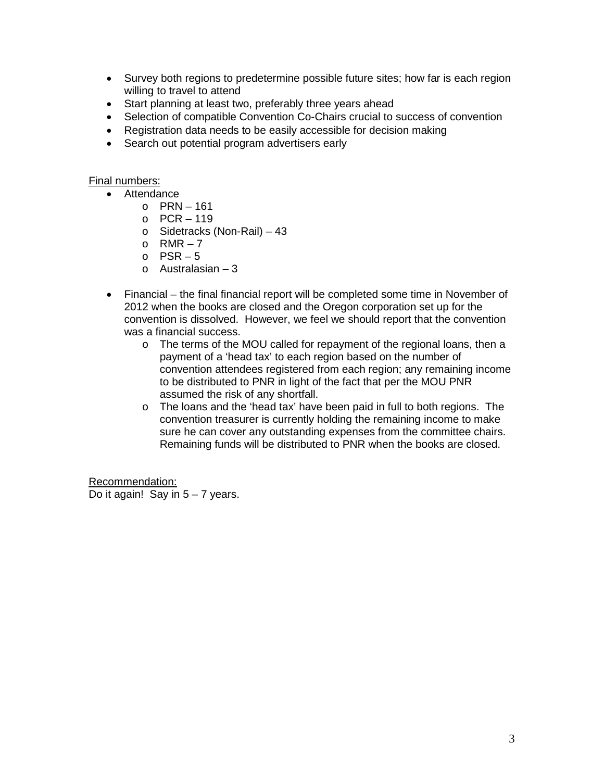- Survey both regions to predetermine possible future sites; how far is each region willing to travel to attend
- Start planning at least two, preferably three years ahead
- Selection of compatible Convention Co-Chairs crucial to success of convention
- Registration data needs to be easily accessible for decision making
- Search out potential program advertisers early

#### Final numbers:

- Attendance
	- $O$  PRN 161
	- $O$  PCR 119
	- o Sidetracks (Non-Rail) 43
	- $o$  RMR 7
	- $o$  PSR 5
	- $\circ$  Australasian 3
- Financial the final financial report will be completed some time in November of 2012 when the books are closed and the Oregon corporation set up for the convention is dissolved. However, we feel we should report that the convention was a financial success.
	- o The terms of the MOU called for repayment of the regional loans, then a payment of a 'head tax' to each region based on the number of convention attendees registered from each region; any remaining income to be distributed to PNR in light of the fact that per the MOU PNR assumed the risk of any shortfall.
	- o The loans and the 'head tax' have been paid in full to both regions. The convention treasurer is currently holding the remaining income to make sure he can cover any outstanding expenses from the committee chairs. Remaining funds will be distributed to PNR when the books are closed.

Recommendation:

Do it again! Say in  $5 - 7$  years.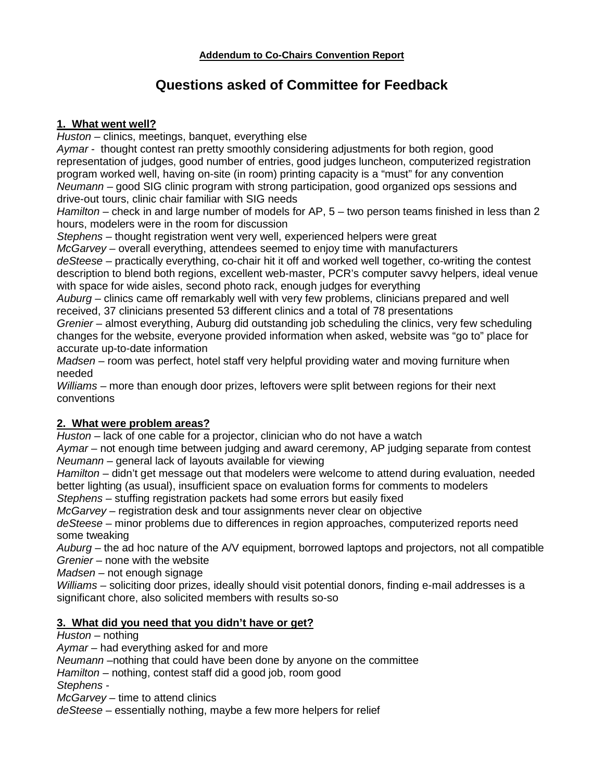# **Questions asked of Committee for Feedback**

#### **1. What went well?**

*Huston* – clinics, meetings, banquet, everything else

*Aymar* - thought contest ran pretty smoothly considering adjustments for both region, good representation of judges, good number of entries, good judges luncheon, computerized registration program worked well, having on-site (in room) printing capacity is a "must" for any convention *Neumann* – good SIG clinic program with strong participation, good organized ops sessions and drive-out tours, clinic chair familiar with SIG needs

*Hamilton* – check in and large number of models for AP, 5 – two person teams finished in less than 2 hours, modelers were in the room for discussion

*Stephens* – thought registration went very well, experienced helpers were great

*McGarvey* – overall everything, attendees seemed to enjoy time with manufacturers *deSteese* – practically everything, co-chair hit it off and worked well together, co-writing the contest description to blend both regions, excellent web-master, PCR's computer savvy helpers, ideal venue with space for wide aisles, second photo rack, enough judges for everything

*Auburg* – clinics came off remarkably well with very few problems, clinicians prepared and well received, 37 clinicians presented 53 different clinics and a total of 78 presentations

*Grenier* – almost everything, Auburg did outstanding job scheduling the clinics, very few scheduling changes for the website, everyone provided information when asked, website was "go to" place for accurate up-to-date information

*Madsen* – room was perfect, hotel staff very helpful providing water and moving furniture when needed

*Williams* – more than enough door prizes, leftovers were split between regions for their next conventions

# **2. What were problem areas?**

*Huston* – lack of one cable for a projector, clinician who do not have a watch

Aymar – not enough time between judging and award ceremony, AP judging separate from contest *Neumann* – general lack of layouts available for viewing

*Hamilton* – didn't get message out that modelers were welcome to attend during evaluation, needed better lighting (as usual), insufficient space on evaluation forms for comments to modelers

*Stephens* – stuffing registration packets had some errors but easily fixed

*McGarvey* – registration desk and tour assignments never clear on objective

*deSteese* – minor problems due to differences in region approaches, computerized reports need some tweaking

*Auburg* – the ad hoc nature of the A/V equipment, borrowed laptops and projectors, not all compatible *Grenier* – none with the website

*Madsen* – not enough signage

*Williams* – soliciting door prizes, ideally should visit potential donors, finding e-mail addresses is a significant chore, also solicited members with results so-so

#### **3. What did you need that you didn't have or get?**

#### *Huston* – nothing

*Aymar* – had everything asked for and more

*Neumann* –nothing that could have been done by anyone on the committee

*Hamilton* – nothing, contest staff did a good job, room good

*Stephens -*

*McGarvey* – time to attend clinics

*deSteese* – essentially nothing, maybe a few more helpers for relief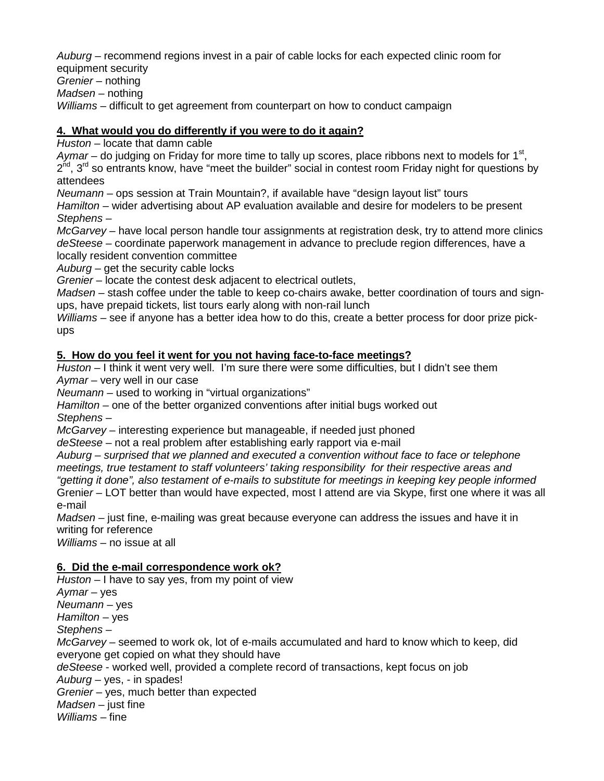*Auburg* – recommend regions invest in a pair of cable locks for each expected clinic room for equipment security

*Grenier* – nothing

*Madsen* – nothing

*Williams* – difficult to get agreement from counterpart on how to conduct campaign

#### **4. What would you do differently if you were to do it again?**

*Huston* – locate that damn cable

*Aymar* – do judging on Friday for more time to tally up scores, place ribbons next to models for 1<sup>st</sup>,  $2^{nd}$ ,  $3^{rd}$  so entrants know, have "meet the builder" social in contest room Friday night for questions by attendees

*Neumann* – ops session at Train Mountain?, if available have "design layout list" tours

*Hamilton* – wider advertising about AP evaluation available and desire for modelers to be present *Stephens* –

*McGarvey* – have local person handle tour assignments at registration desk, try to attend more clinics *deSteese* – coordinate paperwork management in advance to preclude region differences, have a locally resident convention committee

*Auburg* – get the security cable locks

*Grenier* – locate the contest desk adjacent to electrical outlets,

*Madsen* – stash coffee under the table to keep co-chairs awake, better coordination of tours and signups, have prepaid tickets, list tours early along with non-rail lunch

*Williams* – see if anyone has a better idea how to do this, create a better process for door prize pickups

#### **5. How do you feel it went for you not having face-to-face meetings?**

*Huston* – I think it went very well. I'm sure there were some difficulties, but I didn't see them *Aymar* – very well in our case

*Neumann* – used to working in "virtual organizations"

*Hamilton* – one of the better organized conventions after initial bugs worked out *Stephens* –

*McGarvey* – interesting experience but manageable, if needed just phoned

*deSteese* – not a real problem after establishing early rapport via e-mail

*Auburg – surprised that we planned and executed a convention without face to face or telephone meetings, true testament to staff volunteers' taking responsibility for their respective areas and "getting it done", also testament of e-mails to substitute for meetings in keeping key people informed*

Grenie*r* – LOT better than would have expected, most I attend are via Skype, first one where it was all e-mail

*Madsen* – just fine, e-mailing was great because everyone can address the issues and have it in writing for reference

*Williams* – no issue at all

#### **6. Did the e-mail correspondence work ok?**

*Huston* – I have to say yes, from my point of view *Aymar* – yes *Neumann* – yes *Hamilton* – yes *Stephens* – *McGarvey* – seemed to work ok, lot of e-mails accumulated and hard to know which to keep, did everyone get copied on what they should have *deSteese* - worked well, provided a complete record of transactions, kept focus on job *Auburg* – yes, - in spades! *Grenier* – yes, much better than expected *Madsen* – just fine *Williams* – fine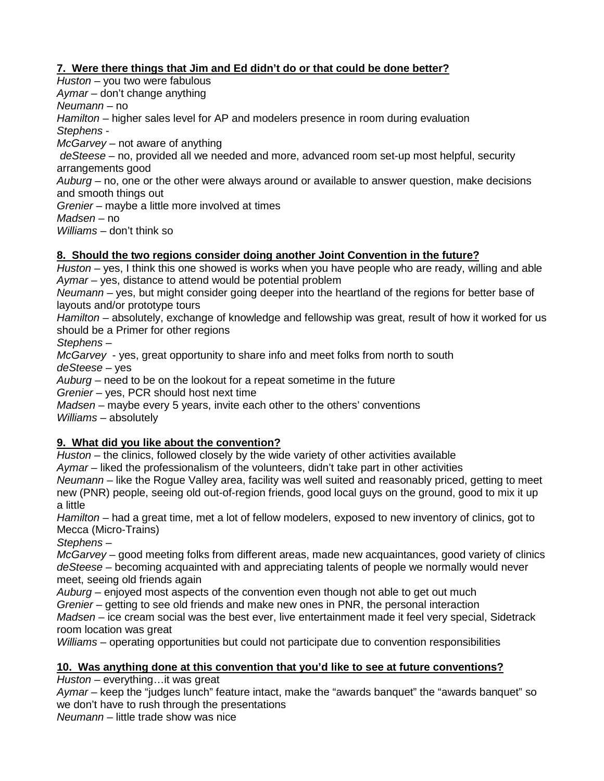# **7. Were there things that Jim and Ed didn't do or that could be done better?**

*Huston* – you two were fabulous *Aymar* – don't change anything *Neumann* – no *Hamilton* – higher sales level for AP and modelers presence in room during evaluation *Stephens* - *McGarvey* – not aware of anything *deSteese* – no, provided all we needed and more, advanced room set-up most helpful, security arrangements good *Auburg* – no, one or the other were always around or available to answer question, make decisions and smooth things out *Grenier* – maybe a little more involved at times *Madsen* – no *Williams* – don't think so

#### **8. Should the two regions consider doing another Joint Convention in the future?**

*Huston* – yes, I think this one showed is works when you have people who are ready, willing and able *Aymar* – yes, distance to attend would be potential problem

*Neumann* – yes, but might consider going deeper into the heartland of the regions for better base of layouts and/or prototype tours

*Hamilton* – absolutely, exchange of knowledge and fellowship was great, result of how it worked for us should be a Primer for other regions

*Stephens* –

*McGarvey* - yes, great opportunity to share info and meet folks from north to south *deSteese* – yes

*Auburg* – need to be on the lookout for a repeat sometime in the future

*Grenier* – yes, PCR should host next time

*Madsen* – maybe every 5 years, invite each other to the others' conventions

*Williams* – absolutely

#### **9. What did you like about the convention?**

*Huston* – the clinics, followed closely by the wide variety of other activities available *Aymar* – liked the professionalism of the volunteers, didn't take part in other activities *Neumann* – like the Rogue Valley area, facility was well suited and reasonably priced, getting to meet

new (PNR) people, seeing old out-of-region friends, good local guys on the ground, good to mix it up a little

*Hamilton* – had a great time, met a lot of fellow modelers, exposed to new inventory of clinics, got to Mecca (Micro-Trains)

*Stephens* –

*McGarvey* – good meeting folks from different areas, made new acquaintances, good variety of clinics *deSteese* – becoming acquainted with and appreciating talents of people we normally would never meet, seeing old friends again

*Auburg* – enjoyed most aspects of the convention even though not able to get out much

*Grenier* – getting to see old friends and make new ones in PNR, the personal interaction

*Madsen* – ice cream social was the best ever, live entertainment made it feel very special, Sidetrack room location was great

*Williams* – operating opportunities but could not participate due to convention responsibilities

#### **10. Was anything done at this convention that you'd like to see at future conventions?**

*Huston* – everything…it was great

*Aymar* – keep the "judges lunch" feature intact, make the "awards banquet" the "awards banquet" so we don't have to rush through the presentations

*Neumann* – little trade show was nice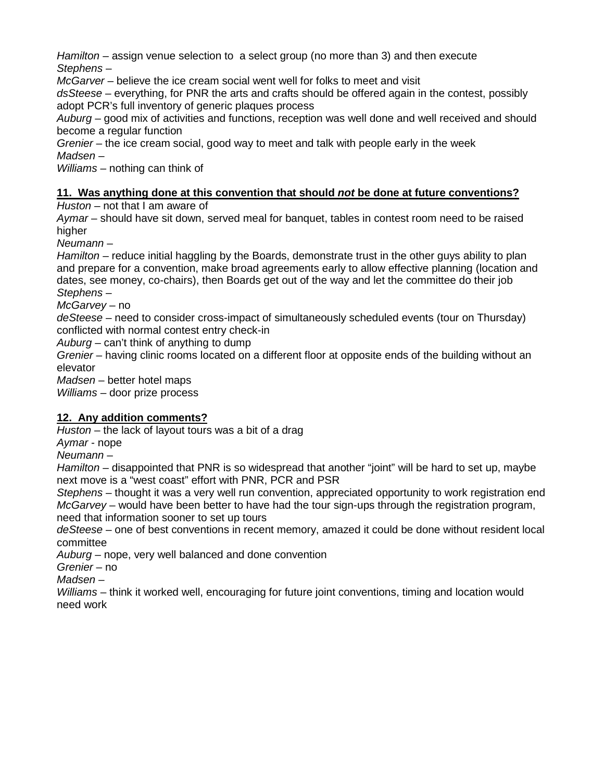*Hamilton* – assign venue selection to a select group (no more than 3) and then execute *Stephens* –

*McGarver* – believe the ice cream social went well for folks to meet and visit

*dsSteese* – everything, for PNR the arts and crafts should be offered again in the contest, possibly adopt PCR's full inventory of generic plaques process

*Auburg* – good mix of activities and functions, reception was well done and well received and should become a regular function

*Grenier* – the ice cream social, good way to meet and talk with people early in the week *Madsen* –

*Williams* – nothing can think of

#### **11. Was anything done at this convention that should** *not* **be done at future conventions?**

*Huston* – not that I am aware of

*Aymar* – should have sit down, served meal for banquet, tables in contest room need to be raised higher

*Neumann* –

*Hamilton* – reduce initial haggling by the Boards, demonstrate trust in the other guys ability to plan and prepare for a convention, make broad agreements early to allow effective planning (location and dates, see money, co-chairs), then Boards get out of the way and let the committee do their job *Stephens* –

*McGarvey* – no

*deSteese* – need to consider cross-impact of simultaneously scheduled events (tour on Thursday) conflicted with normal contest entry check-in

*Auburg* – can't think of anything to dump

*Grenier* – having clinic rooms located on a different floor at opposite ends of the building without an elevator

*Madsen* – better hotel maps

*Williams* – door prize process

#### **12. Any addition comments?**

*Huston* – the lack of layout tours was a bit of a drag

*Aymar* - nope

*Neumann* –

*Hamilton* – disappointed that PNR is so widespread that another "joint" will be hard to set up, maybe next move is a "west coast" effort with PNR, PCR and PSR

*Stephens* – thought it was a very well run convention, appreciated opportunity to work registration end *McGarvey* – would have been better to have had the tour sign-ups through the registration program, need that information sooner to set up tours

*deSteese* – one of best conventions in recent memory, amazed it could be done without resident local committee

*Auburg* – nope, very well balanced and done convention

*Grenier* – no

*Madsen* –

*Williams* – think it worked well, encouraging for future joint conventions, timing and location would need work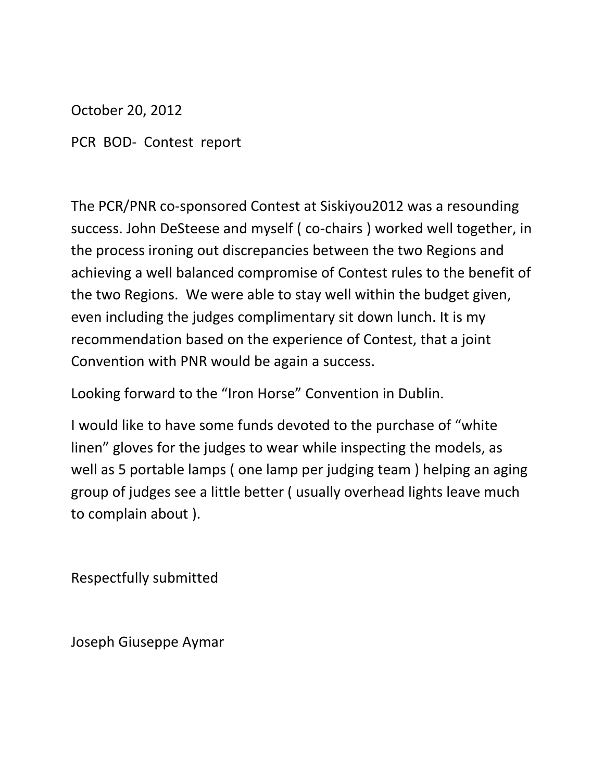October 20, 2012

PCR BOD- Contest report

The PCR/PNR co-sponsored Contest at Siskiyou2012 was a resounding success. John DeSteese and myself ( co-chairs ) worked well together, in the process ironing out discrepancies between the two Regions and achieving a well balanced compromise of Contest rules to the benefit of the two Regions. We were able to stay well within the budget given, even including the judges complimentary sit down lunch. It is my recommendation based on the experience of Contest, that a joint Convention with PNR would be again a success.

Looking forward to the "Iron Horse" Convention in Dublin.

I would like to have some funds devoted to the purchase of "white linen" gloves for the judges to wear while inspecting the models, as well as 5 portable lamps ( one lamp per judging team ) helping an aging group of judges see a little better ( usually overhead lights leave much to complain about ).

Respectfully submitted

Joseph Giuseppe Aymar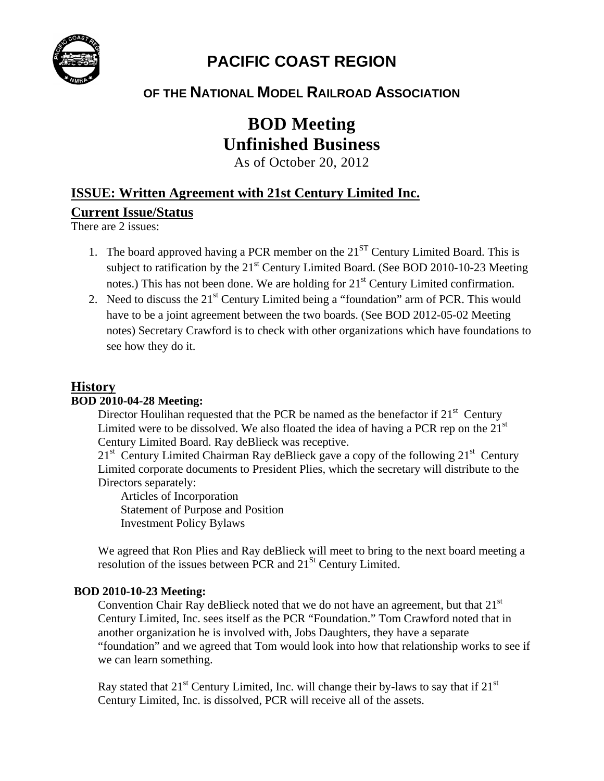

# **PACIFIC COAST REGION**

# **OF THE NATIONAL MODEL RAILROAD ASSOCIATION**

# **BOD Meeting Unfinished Business**

As of October 20, 2012

# **ISSUE: Written Agreement with 21st Century Limited Inc.**

# **Current Issue/Status**

There are 2 issues:

- 1. The board approved having a PCR member on the  $21<sup>ST</sup>$  Century Limited Board. This is subject to ratification by the  $21<sup>st</sup>$  Century Limited Board. (See BOD 2010-10-23 Meeting notes.) This has not been done. We are holding for  $21<sup>st</sup>$  Century Limited confirmation.
- 2. Need to discuss the  $21<sup>st</sup>$  Century Limited being a "foundation" arm of PCR. This would have to be a joint agreement between the two boards. (See BOD 2012-05-02 Meeting notes) Secretary Crawford is to check with other organizations which have foundations to see how they do it.

# **History**

#### **BOD 2010-04-28 Meeting:**

Director Houlihan requested that the PCR be named as the benefactor if  $21<sup>st</sup>$  Century Limited were to be dissolved. We also floated the idea of having a PCR rep on the  $21<sup>st</sup>$ Century Limited Board. Ray deBlieck was receptive.

 $21<sup>st</sup>$  Century Limited Chairman Ray deBlieck gave a copy of the following  $21<sup>st</sup>$  Century Limited corporate documents to President Plies, which the secretary will distribute to the Directors separately:

Articles of Incorporation Statement of Purpose and Position Investment Policy Bylaws

We agreed that Ron Plies and Ray deBlieck will meet to bring to the next board meeting a resolution of the issues between PCR and 21<sup>St</sup> Century Limited.

#### **BOD 2010-10-23 Meeting:**

Convention Chair Ray deBlieck noted that we do not have an agreement, but that  $21<sup>st</sup>$ Century Limited, Inc. sees itself as the PCR "Foundation." Tom Crawford noted that in another organization he is involved with, Jobs Daughters, they have a separate "foundation" and we agreed that Tom would look into how that relationship works to see if we can learn something.

Ray stated that  $21^{st}$  Century Limited, Inc. will change their by-laws to say that if  $21^{st}$ Century Limited, Inc. is dissolved, PCR will receive all of the assets.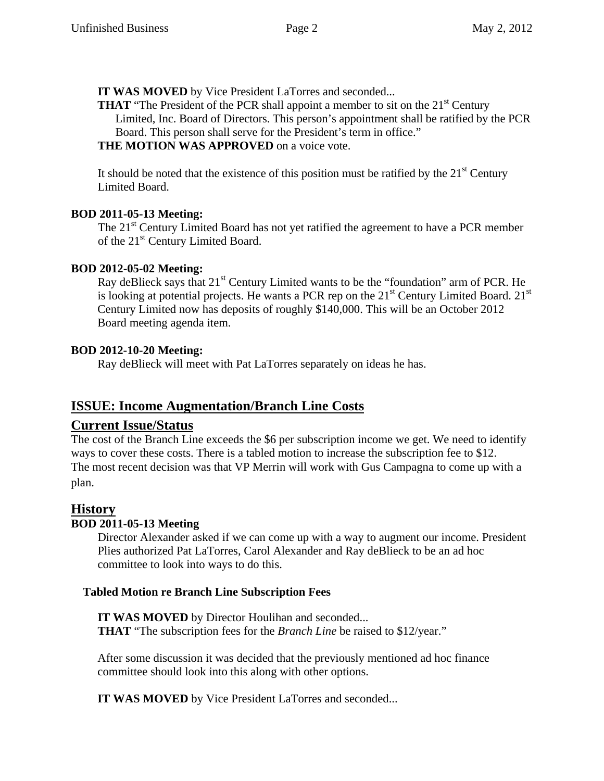**IT WAS MOVED** by Vice President LaTorres and seconded...

**THAT** "The President of the PCR shall appoint a member to sit on the 21<sup>st</sup> Century Limited, Inc. Board of Directors. This person's appointment shall be ratified by the PCR Board. This person shall serve for the President's term in office."

#### **THE MOTION WAS APPROVED** on a voice vote.

It should be noted that the existence of this position must be ratified by the  $21<sup>st</sup>$  Century Limited Board.

#### **BOD 2011-05-13 Meeting:**

The 21<sup>st</sup> Century Limited Board has not yet ratified the agreement to have a PCR member of the 21<sup>st</sup> Century Limited Board.

#### **BOD 2012-05-02 Meeting:**

Ray deBlieck says that 21<sup>st</sup> Century Limited wants to be the "foundation" arm of PCR. He is looking at potential projects. He wants a PCR rep on the  $21<sup>st</sup>$  Century Limited Board.  $21<sup>st</sup>$ Century Limited now has deposits of roughly \$140,000. This will be an October 2012 Board meeting agenda item.

#### **BOD 2012-10-20 Meeting:**

Ray deBlieck will meet with Pat LaTorres separately on ideas he has.

# **ISSUE: Income Augmentation/Branch Line Costs**

# **Current Issue/Status**

The cost of the Branch Line exceeds the \$6 per subscription income we get. We need to identify ways to cover these costs. There is a tabled motion to increase the subscription fee to \$12. The most recent decision was that VP Merrin will work with Gus Campagna to come up with a plan.

# **History**

# **BOD 2011-05-13 Meeting**

Director Alexander asked if we can come up with a way to augment our income. President Plies authorized Pat LaTorres, Carol Alexander and Ray deBlieck to be an ad hoc committee to look into ways to do this.

# **Tabled Motion re Branch Line Subscription Fees**

**IT WAS MOVED** by Director Houlihan and seconded... **THAT** "The subscription fees for the *Branch Line* be raised to \$12/year."

After some discussion it was decided that the previously mentioned ad hoc finance committee should look into this along with other options.

**IT WAS MOVED** by Vice President LaTorres and seconded...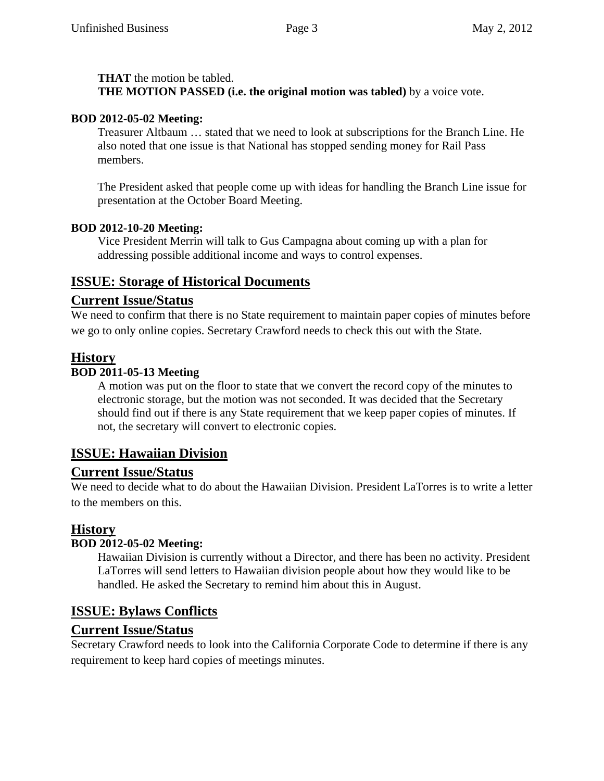#### **THAT** the motion be tabled.

**THE MOTION PASSED (i.e. the original motion was tabled)** by a voice vote.

#### **BOD 2012-05-02 Meeting:**

Treasurer Altbaum … stated that we need to look at subscriptions for the Branch Line. He also noted that one issue is that National has stopped sending money for Rail Pass members.

The President asked that people come up with ideas for handling the Branch Line issue for presentation at the October Board Meeting.

#### **BOD 2012-10-20 Meeting:**

Vice President Merrin will talk to Gus Campagna about coming up with a plan for addressing possible additional income and ways to control expenses.

# **ISSUE: Storage of Historical Documents**

# **Current Issue/Status**

We need to confirm that there is no State requirement to maintain paper copies of minutes before we go to only online copies. Secretary Crawford needs to check this out with the State.

# **History**

#### **BOD 2011-05-13 Meeting**

A motion was put on the floor to state that we convert the record copy of the minutes to electronic storage, but the motion was not seconded. It was decided that the Secretary should find out if there is any State requirement that we keep paper copies of minutes. If not, the secretary will convert to electronic copies.

# **ISSUE: Hawaiian Division**

# **Current Issue/Status**

We need to decide what to do about the Hawaiian Division. President LaTorres is to write a letter to the members on this.

# **History**

# **BOD 2012-05-02 Meeting:**

Hawaiian Division is currently without a Director, and there has been no activity. President LaTorres will send letters to Hawaiian division people about how they would like to be handled. He asked the Secretary to remind him about this in August.

# **ISSUE: Bylaws Conflicts**

# **Current Issue/Status**

Secretary Crawford needs to look into the California Corporate Code to determine if there is any requirement to keep hard copies of meetings minutes.